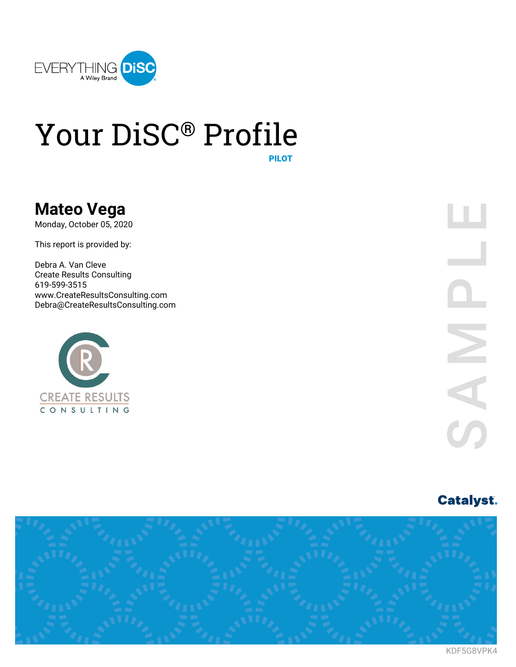

# Your DiSC® Profile

PILOT

# **Mateo Vega**

Monday, October 05, 2020

This report is provided by:

Debra A. Van Cleve Create Results Consulting 619-599-3515 www.CreateResultsConsulting.com Debra@CreateResultsConsulting.com



# **Catalyst.**



KDF5G8VPK4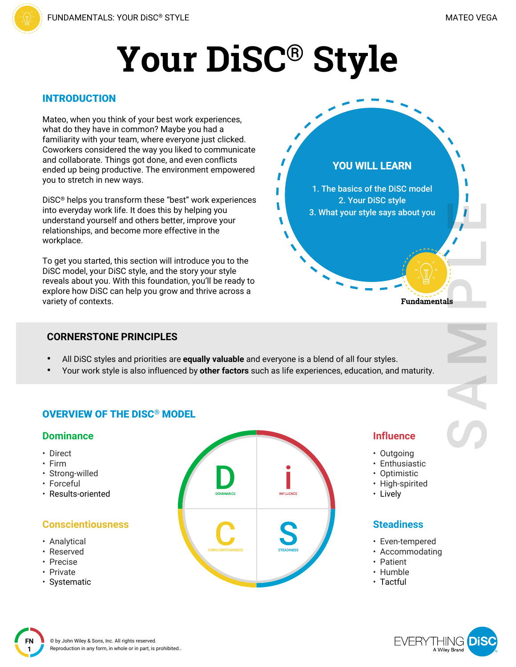# **Your DiSC® Style**

# INTRODUCTION

Mateo, when you think of your best work experiences, what do they have in common? Maybe you had a familiarity with your team, where everyone just clicked. Coworkers considered the way you liked to communicate and collaborate. Things got done, and even conflicts ended up being productive. The environment empowered you to stretch in new ways.

DiSC® helps you transform these "best" work experiences into everyday work life. It does this by helping you understand yourself and others better, improve your relationships, and become more effective in the workplace.

To get you started, this section will introduce you to the DiSC model, your DiSC style, and the story your style reveals about you. With this foundation, you'll be ready to explore how DiSC can help you grow and thrive across a variety of contexts.

# **CORNERSTONE PRINCIPLES**

- All DiSC styles and priorities are **equally valuable** and everyone is a blend of all four styles.
- Your work style is also influenced by **other factors** such as life experiences, education, and maturity.

# OVERVIEW OF THE DISC® MODEL

# **Dominance**

- Direct
- Firm
- Strong-willed
- Forceful
- Results-oriented

# **Conscientiousness**

- Analytical
- Reserved
- Precise
- Private
- Systematic



# **Influence**

**Fundamentals** 

**YOU WILL LEARN**

1. The basics of the DiSC model 2. Your DiSC style 3. What your style says about you

- Outgoing
- Enthusiastic
- Optimistic
- High-spirited
- Lively

# **Steadiness**

- Even-tempered
- Accommodating
- Patient
- Humble
- Tactful

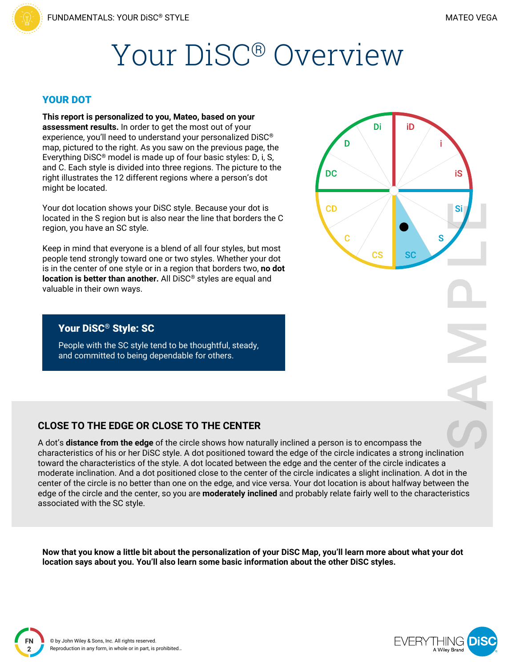# Your DiSC® Overview

#### YOUR DOT

**This report is personalized to you, Mateo, based on your assessment results.** In order to get the most out of your experience, you'll need to understand your personalized DiSC® map, pictured to the right. As you saw on the previous page, the Everything DiSC® model is made up of four basic styles: D, i, S, and C. Each style is divided into three regions. The picture to the right illustrates the 12 different regions where a person's dot might be located.

Your dot location shows your DiSC style. Because your dot is located in the S region but is also near the line that borders the C region, you have an SC style.

Keep in mind that everyone is a blend of all four styles, but most people tend strongly toward one or two styles. Whether your dot is in the center of one style or in a region that borders two, **no dot location is better than another.** All DiSC® styles are equal and valuable in their own ways.

# Di iD D **DC** iS **CD** Si S Ć **CS** SC

### Your DiSC® Style: SC

People with the SC style tend to be thoughtful, steady, and committed to being dependable for others.

## **CLOSE TO THE EDGE OR CLOSE TO THE CENTER**

A dot's **distance from the edge** of the circle shows how naturally inclined a person is to encompass the characteristics of his or her DiSC style. A dot positioned toward the edge of the circle indicates a strong inclination toward the characteristics of the style. A dot located between the edge and the center of the circle indicates a moderate inclination. And a dot positioned close to the center of the circle indicates a slight inclination. A dot in the center of the circle is no better than one on the edge, and vice versa. Your dot location is about halfway between the edge of the circle and the center, so you are **moderately inclined** and probably relate fairly well to the characteristics associated with the SC style.

Now that you know a little bit about the personalization of your DiSC Map, you'll learn more about what your dot **location says about you. You'll also learn some basic information about the other DiSC styles.**

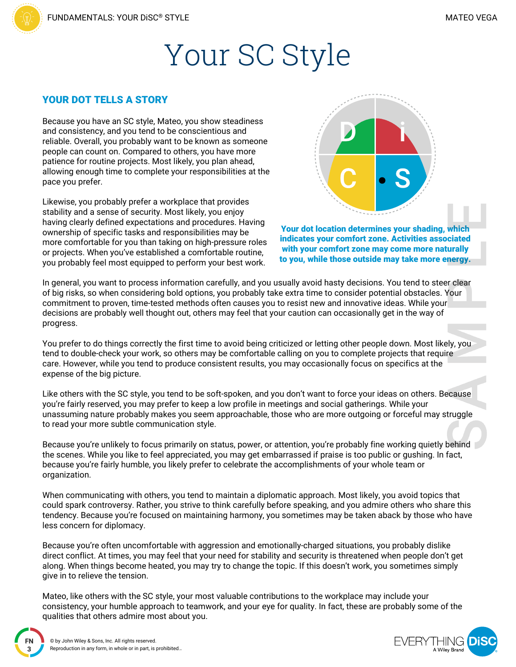# Your SC Style

#### YOUR DOT TELLS A STORY

Because you have an SC style, Mateo, you show steadiness and consistency, and you tend to be conscientious and reliable. Overall, you probably want to be known as someone people can count on. Compared to others, you have more patience for routine projects. Most likely, you plan ahead, allowing enough time to complete your responsibilities at the pace you prefer.

Likewise, you probably prefer a workplace that provides stability and a sense of security. Most likely, you enjoy having clearly defined expectations and procedures. Having ownership of specific tasks and responsibilities may be more comfortable for you than taking on high-pressure roles or projects. When you've established a comfortable routine, you probably feel most equipped to perform your best work.



Your dot location determines your shading, which indicates your comfort zone. Activities associated with your comfort zone may come more naturally to you, while those outside may take more energy.

In general, you want to process information carefully, and you usually avoid hasty decisions. You tend to steer clear of big risks, so when considering bold options, you probably take extra time to consider potential obstacles. Your commitment to proven, time-tested methods often causes you to resist new and innovative ideas. While your decisions are probably well thought out, others may feel that your caution can occasionally get in the way of progress.

You prefer to do things correctly the first time to avoid being criticized or letting other people down. Most likely, you tend to double-check your work, so others may be comfortable calling on you to complete projects that require care. However, while you tend to produce consistent results, you may occasionally focus on specifics at the expense of the big picture.

Like others with the SC style, you tend to be soft-spoken, and you don't want to force your ideas on others. Because you're fairly reserved, you may prefer to keep a low profile in meetings and social gatherings. While your unassuming nature probably makes you seem approachable, those who are more outgoing or forceful may struggle to read your more subtle communication style.

Because you're unlikely to focus primarily on status, power, or attention, you're probably fine working quietly behind the scenes. While you like to feel appreciated, you may get embarrassed if praise is too public or gushing. In fact, because you're fairly humble, you likely prefer to celebrate the accomplishments of your whole team or organization.

When communicating with others, you tend to maintain a diplomatic approach. Most likely, you avoid topics that could spark controversy. Rather, you strive to think carefully before speaking, and you admire others who share this tendency. Because you're focused on maintaining harmony, you sometimes may be taken aback by those who have less concern for diplomacy.

Because you're often uncomfortable with aggression and emotionally-charged situations, you probably dislike direct conflict. At times, you may feel that your need for stability and security is threatened when people don't get along. When things become heated, you may try to change the topic. If this doesn't work, you sometimes simply give in to relieve the tension.

Mateo, like others with the SC style, your most valuable contributions to the workplace may include your consistency, your humble approach to teamwork, and your eye for quality. In fact, these are probably some of the qualities that others admire most about you.

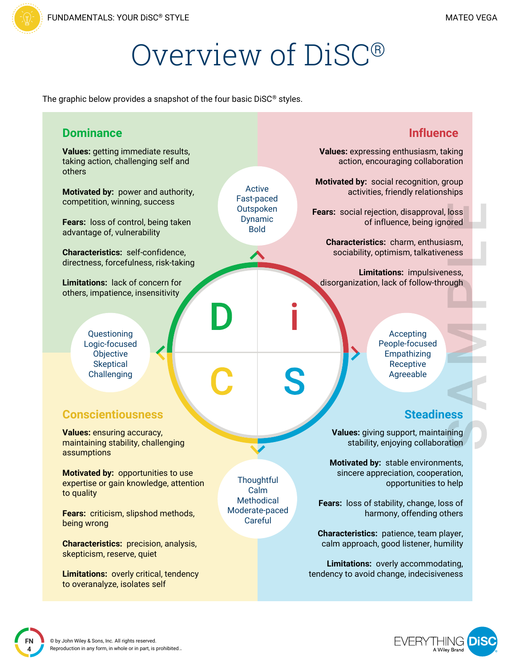# Overview of DiSC®

The graphic below provides a snapshot of the four basic DiSC® styles.

| <b>Dominance</b>                                                                                                                      | <b>Influence</b>                                                                                                                               |
|---------------------------------------------------------------------------------------------------------------------------------------|------------------------------------------------------------------------------------------------------------------------------------------------|
| Values: getting immediate results,<br>taking action, challenging self and<br>others                                                   | Values: expressing enthusiasm, taking<br>action, encouraging collaboration                                                                     |
| Active<br>Motivated by: power and authority,<br>Fast-paced<br>competition, winning, success<br>Outspoken                              | Motivated by: social recognition, group<br>activities, friendly relationships                                                                  |
| Dynamic<br>Fears: loss of control, being taken<br><b>Bold</b><br>advantage of, vulnerability                                          | Fears: social rejection, disapproval, loss<br>of influence, being ignored                                                                      |
| Characteristics: self-confidence,<br>directness, forcefulness, risk-taking                                                            | Characteristics: charm, enthusiasm,<br>sociability, optimism, talkativeness                                                                    |
| Limitations: lack of concern for<br>others, impatience, insensitivity                                                                 | Limitations: impulsiveness,<br>disorganization, lack of follow-through                                                                         |
| Questioning<br>Logic-focused<br>Objective<br><b>Skeptical</b><br>Challenging<br><b>Conscientiousness</b>                              | Accepting<br>People-focused<br>Empathizing<br>Receptive<br>S<br>Agreeable<br><b>Steadiness</b>                                                 |
| <b>Values: ensuring accuracy,</b><br>maintaining stability, challenging<br>assumptions                                                | Values: giving support, maintaining<br>stability, enjoying collaboration                                                                       |
| Motivated by: opportunities to use<br>Thoughtful<br>expertise or gain knowledge, attention<br>Calm<br>to quality<br><b>Methodical</b> | Motivated by: stable environments,<br>sincere appreciation, cooperation,<br>opportunities to help<br>Fears: loss of stability, change, loss of |
| Moderate-paced<br>Fears: criticism, slipshod methods,<br>Careful<br>being wrong                                                       | harmony, offending others                                                                                                                      |
| <b>Characteristics: precision, analysis,</b><br>skepticism, reserve, quiet                                                            | Characteristics: patience, team player,<br>calm approach, good listener, humility                                                              |
| <b>Limitations: overly critical, tendency</b><br>to overanalyze, isolates self                                                        | Limitations: overly accommodating,<br>tendency to avoid change, indecisiveness                                                                 |

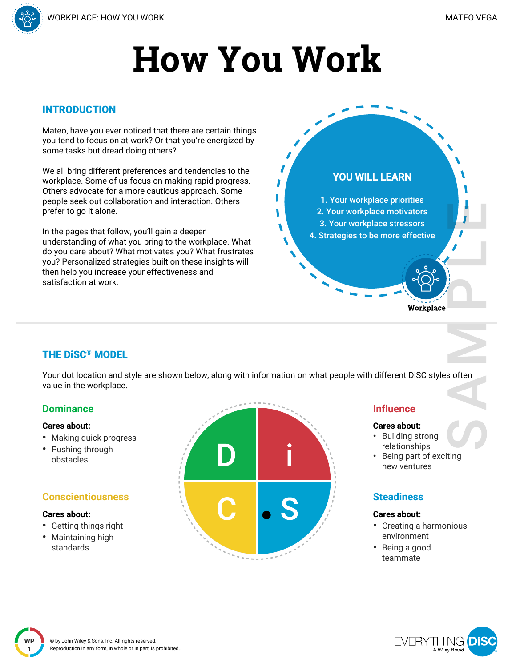

### INTRODUCTION

Mateo, have you ever noticed that there are certain things you tend to focus on at work? Or that you're energized by some tasks but dread doing others?

We all bring different preferences and tendencies to the workplace. Some of us focus on making rapid progress. Others advocate for a more cautious approach. Some people seek out collaboration and interaction. Others prefer to go it alone.

In the pages that follow, you'll gain a deeper understanding of what you bring to the workplace. What do you care about? What motivates you? What frustrates you? Personalized strategies built on these insights will then help you increase your effectiveness and satisfaction at work.



# THE DiSC® MODEL

Your dot location and style are shown below, along with information on what people with different DiSC styles often value in the workplace.

## **Dominance**

#### **Cares about:**

- Making quick progress
- Pushing through obstacles

## **Conscientiousness**

#### **Cares about:**

- Getting things right
- Maintaining high standards



#### **Influence**

#### **Cares about:**

- Building strong relationships
- Being part of exciting new ventures

# **Steadiness**

#### **Cares about:**

- Creating a harmonious environment
- Being a good teammate

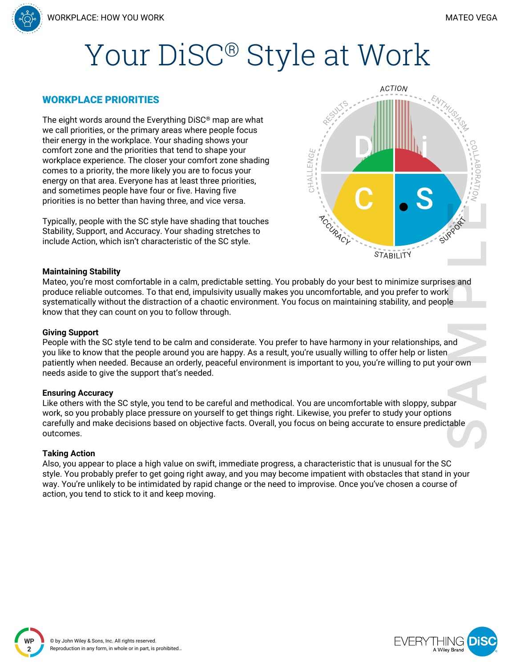# Your DiSC® Style at Work

#### WORKPLACE PRIORITIES

The eight words around the Everything DiSC® map are what we call priorities, or the primary areas where people focus their energy in the workplace. Your shading shows your comfort zone and the priorities that tend to shape your workplace experience. The closer your comfort zone shading comes to a priority, the more likely you are to focus your energy on that area. Everyone has at least three priorities, and sometimes people have four or five. Having five priorities is no better than having three, and vice versa.

Typically, people with the SC style have shading that touches Stability, Support, and Accuracy. Your shading stretches to include Action, which isn't characteristic of the SC style.



#### **Maintaining Stability**

Mateo, you're most comfortable in a calm, predictable setting. You probably do your best to minimize surprises and produce reliable outcomes. To that end, impulsivity usually makes you uncomfortable, and you prefer to work systematically without the distraction of a chaotic environment. You focus on maintaining stability, and people know that they can count on you to follow through.

#### **Giving Support**

People with the SC style tend to be calm and considerate. You prefer to have harmony in your relationships, and you like to know that the people around you are happy. As a result, you're usually willing to offer help or listen patiently when needed. Because an orderly, peaceful environment is important to you, you're willing to put your own needs aside to give the support that's needed.

#### **Ensuring Accuracy**

Like others with the SC style, you tend to be careful and methodical. You are uncomfortable with sloppy, subpar work, so you probably place pressure on yourself to get things right. Likewise, you prefer to study your options carefully and make decisions based on objective facts. Overall, you focus on being accurate to ensure predictable outcomes.

#### **Taking Action**

**WP 2**

Also, you appear to place a high value on swift, immediate progress, a characteristic that is unusual for the SC style. You probably prefer to get going right away, and you may become impatient with obstacles that stand in your way. You're unlikely to be intimidated by rapid change or the need to improvise. Once you've chosen a course of action, you tend to stick to it and keep moving.

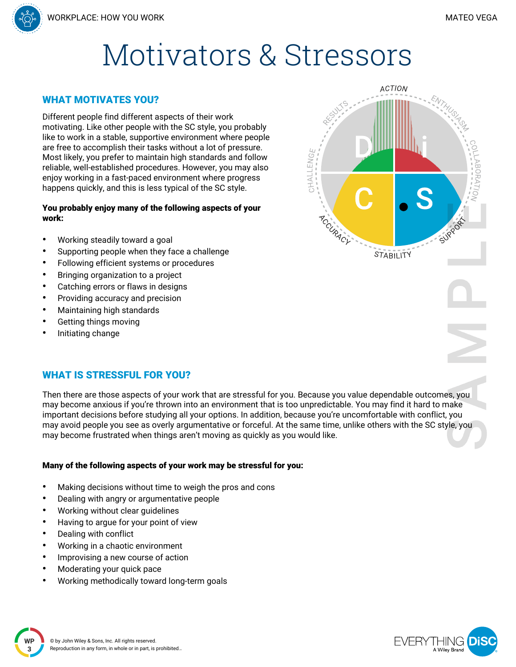

# WHAT MOTIVATES YOU?

Different people find different aspects of their work motivating. Like other people with the SC style, you probably like to work in a stable, supportive environment where people are free to accomplish their tasks without a lot of pressure. Most likely, you prefer to maintain high standards and follow reliable, well-established procedures. However, you may also enjoy working in a fast-paced environment where progress happens quickly, and this is less typical of the SC style.

#### You probably enjoy many of the following aspects of your work:

- Working steadily toward a goal
- Supporting people when they face a challenge
- Following efficient systems or procedures
- Bringing organization to a project
- Catching errors or flaws in designs
- Providing accuracy and precision
- Maintaining high standards
- Getting things moving
- Initiating change

# WHAT IS STRESSFUL FOR YOU?

Then there are those aspects of your work that are stressful for you. Because you value dependable outcomes, you may become anxious if you're thrown into an environment that is too unpredictable. You may find it hard to make important decisions before studying all your options. In addition, because you're uncomfortable with conflict, you may avoid people you see as overly argumentative or forceful. At the same time, unlike others with the SC style, you may become frustrated when things aren't moving as quickly as you would like.

## Many of the following aspects of your work may be stressful for you:

- Making decisions without time to weigh the pros and cons
- Dealing with angry or argumentative people
- Working without clear guidelines
- Having to argue for your point of view
- Dealing with conflict

**3**

**2-3 WP**

- Working in a chaotic environment
- Improvising a new course of action
- Moderating your quick pace
- Working methodically toward long-term goals





**EVERY** 

A Wiley Branc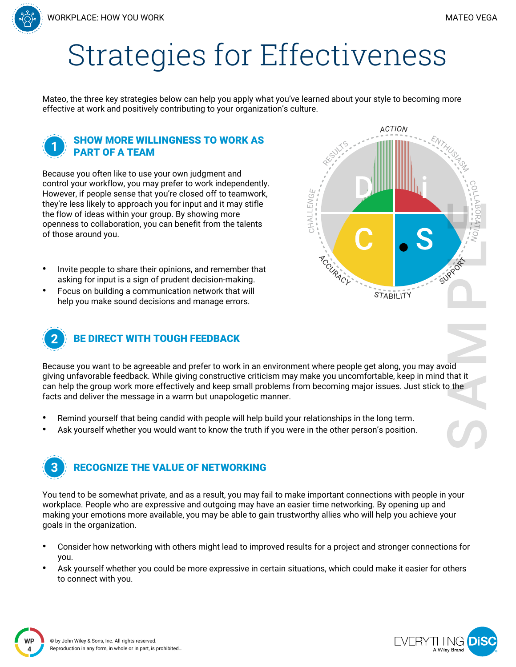# Strategies for Effectiveness

Mateo, the three key strategies below can help you apply what you've learned about your style to becoming more effective at work and positively contributing to your organization's culture.

# SHOW MORE WILLINGNESS TO WORK AS PART OF A TEAM

Because you often like to use your own judgment and control your workflow, you may prefer to work independently. However, if people sense that you're closed off to teamwork, they're less likely to approach you for input and it may stifle the flow of ideas within your group. By showing more openness to collaboration, you can benefit from the talents of those around you.

- Invite people to share their opinions, and remember that asking for input is a sign of prudent decision-making.
- Focus on building a communication network that will help you make sound decisions and manage errors.



# BE DIRECT WITH TOUGH FEEDBACK

Because you want to be agreeable and prefer to work in an environment where people get along, you may avoid giving unfavorable feedback. While giving constructive criticism may make you uncomfortable, keep in mind that it can help the group work more effectively and keep small problems from becoming major issues. Just stick to the facts and deliver the message in a warm but unapologetic manner.

- Remind yourself that being candid with people will help build your relationships in the long term.
- Ask yourself whether you would want to know the truth if you were in the other person's position.

# RECOGNIZE THE VALUE OF NETWORKING

You tend to be somewhat private, and as a result, you may fail to make important connections with people in your workplace. People who are expressive and outgoing may have an easier time networking. By opening up and making your emotions more available, you may be able to gain trustworthy allies who will help you achieve your goals in the organization.

- Consider how networking with others might lead to improved results for a project and stronger connections for you.
- Ask yourself whether you could be more expressive in certain situations, which could make it easier for others to connect with you.

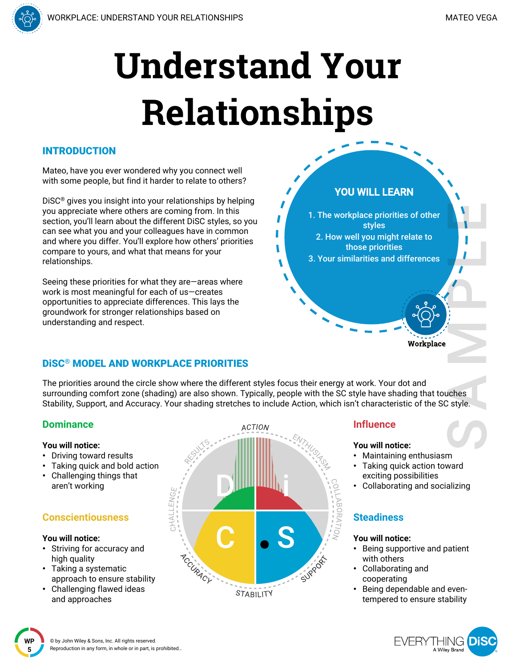# **Understand Your Relationships**

# INTRODUCTION

Mateo, have you ever wondered why you connect well with some people, but find it harder to relate to others?

DiSC® gives you insight into your relationships by helping you appreciate where others are coming from. In this section, you'll learn about the different DiSC styles, so you can see what you and your colleagues have in common and where you differ. You'll explore how others' priorities compare to yours, and what that means for your relationships.

Seeing these priorities for what they are—areas where work is most meaningful for each of us—creates opportunities to appreciate differences. This lays the groundwork for stronger relationships based on understanding and respect.

# DiSC® MODEL AND WORKPLACE PRIORITIES

The priorities around the circle show where the different styles focus their energy at work. Your dot and surrounding comfort zone (shading) are also shown. Typically, people with the SC style have shading that touches Stability, Support, and Accuracy. Your shading stretches to include Action, which isn't characteristic of the SC style.

# **Dominance**

- **You will notice:**
- Driving toward results
- Taking quick and bold action
- Challenging things that aren't working

# **Conscientiousness**

#### **You will notice:**

- Striving for accuracy and high quality
- Taking a systematic approach to ensure stability
- Challenging flawed ideas and approaches



## **Influence**

**YOU WILL LEARN**

1. The workplace priorities of other styles 2. How well you might relate to those priorities 3. Your similarities and differences

#### **You will notice:**

- Maintaining enthusiasm
- Taking quick action toward exciting possibilities
- Collaborating and socializing

Workplace

## **Steadiness**

#### **You will notice:**

- Being supportive and patient with others
- Collaborating and cooperating
- Being dependable and eventempered to ensure stability

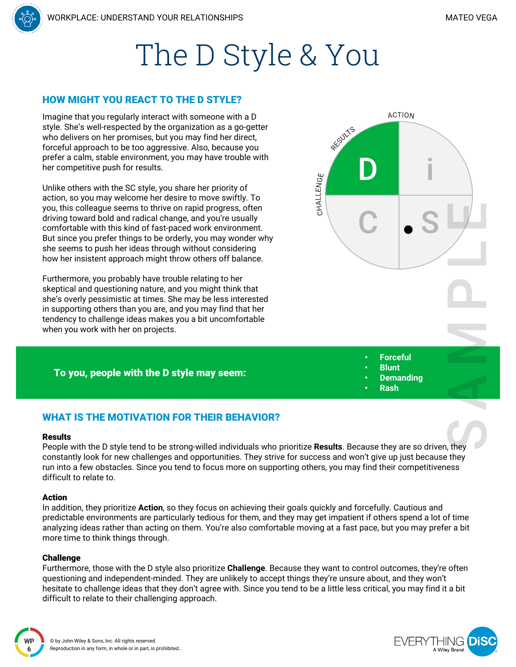# The D Style & You

### HOW MIGHT YOU REACT TO THE D STYLE?

Imagine that you regularly interact with someone with a D style. She's well-respected by the organization as a go-getter who delivers on her promises, but you may find her direct, forceful approach to be too aggressive. Also, because you prefer a calm, stable environment, you may have trouble with her competitive push for results.

Unlike others with the SC style, you share her priority of action, so you may welcome her desire to move swiftly. To you, this colleague seems to thrive on rapid progress, often driving toward bold and radical change, and you're usually comfortable with this kind of fast-paced work environment. But since you prefer things to be orderly, you may wonder why she seems to push her ideas through without considering how her insistent approach might throw others off balance.

Furthermore, you probably have trouble relating to her skeptical and questioning nature, and you might think that she's overly pessimistic at times. She may be less interested in supporting others than you are, and you may find that her tendency to challenge ideas makes you a bit uncomfortable when you work with her on projects.

#### To you, people with the D style may seem:



- **Forceful**
- **Blunt**
- **Demanding** • **Rash**

WHAT IS THE MOTIVATION FOR THEIR BEHAVIOR?

#### Results

People with the D style tend to be strong-willed individuals who prioritize **Results**. Because they are so driven, they constantly look for new challenges and opportunities. They strive for success and won't give up just because they run into a few obstacles. Since you tend to focus more on supporting others, you may find their competitiveness difficult to relate to.

#### Action

In addition, they prioritize **Action**, so they focus on achieving their goals quickly and forcefully. Cautious and predictable environments are particularly tedious for them, and they may get impatient if others spend a lot of time analyzing ideas rather than acting on them. You're also comfortable moving at a fast pace, but you may prefer a bit more time to think things through.

#### **Challenge**

**WP 6**

Furthermore, those with the D style also prioritize **Challenge**. Because they want to control outcomes, they're often questioning and independent-minded. They are unlikely to accept things they're unsure about, and they won't hesitate to challenge ideas that they don't agree with. Since you tend to be a little less critical, you may find it a bit difficult to relate to their challenging approach.

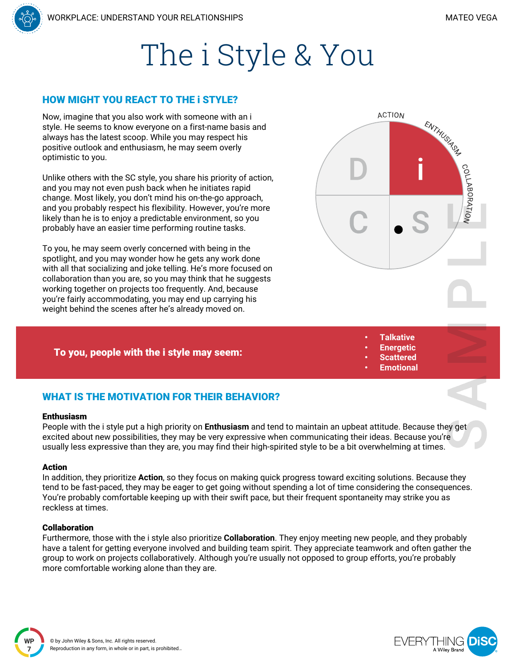# The i Style & You

### HOW MIGHT YOU REACT TO THE i STYLE?

Now, imagine that you also work with someone with an i style. He seems to know everyone on a first-name basis and always has the latest scoop. While you may respect his positive outlook and enthusiasm, he may seem overly optimistic to you.

Unlike others with the SC style, you share his priority of action, and you may not even push back when he initiates rapid change. Most likely, you don't mind his on-the-go approach, and you probably respect his flexibility. However, you're more likely than he is to enjoy a predictable environment, so you probably have an easier time performing routine tasks.

To you, he may seem overly concerned with being in the spotlight, and you may wonder how he gets any work done with all that socializing and joke telling. He's more focused on collaboration than you are, so you may think that he suggests working together on projects too frequently. And, because you're fairly accommodating, you may end up carrying his weight behind the scenes after he's already moved on.

#### To you, people with the i style may seem:



- **Talkative**
- **Energetic**
- **Scattered**
- **Emotional**

# WHAT IS THE MOTIVATION FOR THEIR BEHAVIOR?

#### Enthusiasm

People with the i style put a high priority on **Enthusiasm** and tend to maintain an upbeat attitude. Because they get excited about new possibilities, they may be very expressive when communicating their ideas. Because you're usually less expressive than they are, you may find their high-spirited style to be a bit overwhelming at times.

#### Action

In addition, they prioritize **Action**, so they focus on making quick progress toward exciting solutions. Because they tend to be fast-paced, they may be eager to get going without spending a lot of time considering the consequences. You're probably comfortable keeping up with their swift pace, but their frequent spontaneity may strike you as reckless at times.

#### Collaboration

Furthermore, those with the i style also prioritize **Collaboration**. They enjoy meeting new people, and they probably have a talent for getting everyone involved and building team spirit. They appreciate teamwork and often gather the group to work on projects collaboratively. Although you're usually not opposed to group efforts, you're probably more comfortable working alone than they are.

A Wiley Branc

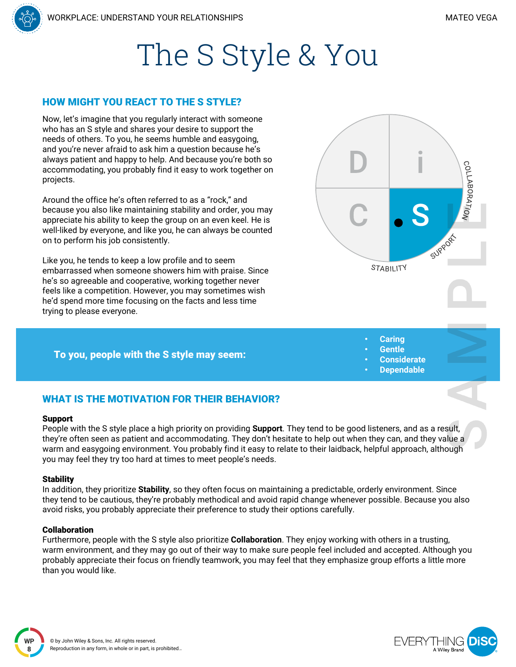COLLABORATION

# The S Style & You

## HOW MIGHT YOU REACT TO THE S STYLE?

Now, let's imagine that you regularly interact with someone who has an S style and shares your desire to support the needs of others. To you, he seems humble and easygoing, and you're never afraid to ask him a question because he's always patient and happy to help. And because you're both so accommodating, you probably find it easy to work together on projects.

Around the office he's often referred to as a "rock," and because you also like maintaining stability and order, you may appreciate his ability to keep the group on an even keel. He is well-liked by everyone, and like you, he can always be counted on to perform his job consistently.

Like you, he tends to keep a low profile and to seem embarrassed when someone showers him with praise. Since he's so agreeable and cooperative, working together never feels like a competition. However, you may sometimes wish he'd spend more time focusing on the facts and less time trying to please everyone.

#### To you, people with the S style may seem:

- **STABILITY** 
	- **Caring**
	- **Gentle**
	- **Considerate**
	- **Dependable**

# WHAT IS THE MOTIVATION FOR THEIR BEHAVIOR?

#### Support

People with the S style place a high priority on providing **Support**. They tend to be good listeners, and as a result, they're often seen as patient and accommodating. They don't hesitate to help out when they can, and they value a warm and easygoing environment. You probably find it easy to relate to their laidback, helpful approach, although you may feel they try too hard at times to meet people's needs.

#### **Stability**

**WP 8**

In addition, they prioritize **Stability**, so they often focus on maintaining a predictable, orderly environment. Since they tend to be cautious, they're probably methodical and avoid rapid change whenever possible. Because you also avoid risks, you probably appreciate their preference to study their options carefully.

#### Collaboration

Furthermore, people with the S style also prioritize **Collaboration**. They enjoy working with others in a trusting, warm environment, and they may go out of their way to make sure people feel included and accepted. Although you probably appreciate their focus on friendly teamwork, you may feel that they emphasize group efforts a little more than you would like.

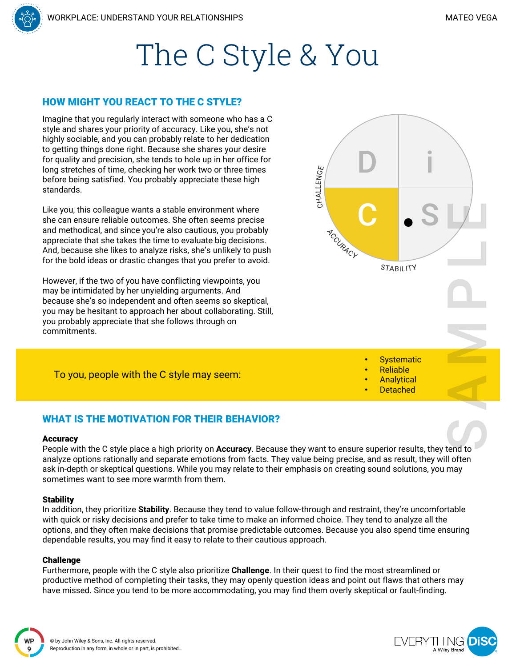# The C Style & You

## HOW MIGHT YOU REACT TO THE C STYLE?

Imagine that you regularly interact with someone who has a C style and shares your priority of accuracy. Like you, she's not highly sociable, and you can probably relate to her dedication to getting things done right. Because she shares your desire for quality and precision, she tends to hole up in her office for long stretches of time, checking her work two or three times before being satisfied. You probably appreciate these high standards.

Like you, this colleague wants a stable environment where she can ensure reliable outcomes. She often seems precise and methodical, and since you're also cautious, you probably appreciate that she takes the time to evaluate big decisions. And, because she likes to analyze risks, she's unlikely to push for the bold ideas or drastic changes that you prefer to avoid.

However, if the two of you have conflicting viewpoints, you may be intimidated by her unyielding arguments. And because she's so independent and often seems so skeptical, you may be hesitant to approach her about collaborating. Still, you probably appreciate that she follows through on commitments.



CHALLENGE

**Systematic** • Reliable **Analytical Detached** 

To you, people with the C style may seem:



#### **Accuracy**

People with the C style place a high priority on **Accuracy**. Because they want to ensure superior results, they tend to analyze options rationally and separate emotions from facts. They value being precise, and as result, they will often ask in-depth or skeptical questions. While you may relate to their emphasis on creating sound solutions, you may sometimes want to see more warmth from them.

#### **Stability**

In addition, they prioritize **Stability**. Because they tend to value follow-through and restraint, they're uncomfortable with quick or risky decisions and prefer to take time to make an informed choice. They tend to analyze all the options, and they often make decisions that promise predictable outcomes. Because you also spend time ensuring dependable results, you may find it easy to relate to their cautious approach.

#### Challenge

Furthermore, people with the C style also prioritize **Challenge**. In their quest to find the most streamlined or productive method of completing their tasks, they may openly question ideas and point out flaws that others may have missed. Since you tend to be more accommodating, you may find them overly skeptical or fault-finding.

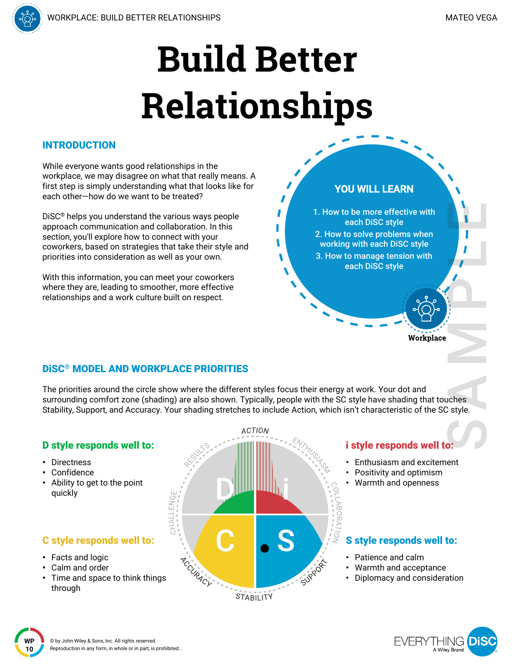**YOU WILL LEARN**

1. How to be more effective with each DiSC style 2. How to solve problems when working with each DiSC style 3. How to manage tension with each DiSC style



## INTRODUCTION

While everyone wants good relationships in the workplace, we may disagree on what that really means. A first step is simply understanding what that looks like for each other—how do we want to be treated?

DiSC® helps you understand the various ways people approach communication and collaboration. In this section, you'll explore how to connect with your coworkers, based on strategies that take their style and priorities into consideration as well as your own.

With this information, you can meet your coworkers where they are, leading to smoother, more effective relationships and a work culture built on respect.

# DiSC® MODEL AND WORKPLACE PRIORITIES

The priorities around the circle show where the different styles focus their energy at work. Your dot and surrounding comfort zone (shading) are also shown. Typically, people with the SC style have shading that touches Stability, Support, and Accuracy. Your shading stretches to include Action, which isn't characteristic of the SC style.

#### **ACTION** D style responds well to: i style responds well to: • Directness • Enthusiasm and excitement **Confidence** Positivity and optimism • Ability to get to the point • Warmth and openness quickly HALLENG S style responds well to: C style responds well to: • Facts and logic ACCURACY • Patience and calm • Calm and order • Warmth and acceptance Time and space to think things • Diplomacy and consideration through STABILITY

FVFRY A Wiley Branc

Workplace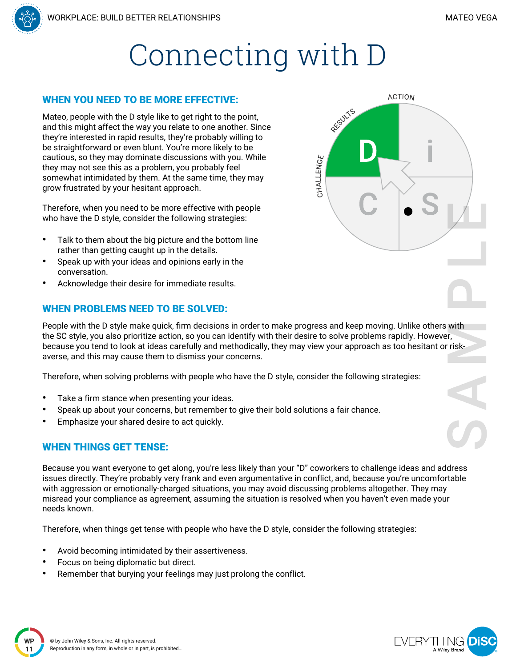# Connecting with D

### WHEN YOU NEED TO BE MORE EFFECTIVE:

Mateo, people with the D style like to get right to the point, and this might affect the way you relate to one another. Since they're interested in rapid results, they're probably willing to be straightforward or even blunt. You're more likely to be cautious, so they may dominate discussions with you. While they may not see this as a problem, you probably feel somewhat intimidated by them. At the same time, they may grow frustrated by your hesitant approach.

Therefore, when you need to be more effective with people who have the D style, consider the following strategies:

- Talk to them about the big picture and the bottom line rather than getting caught up in the details.
- Speak up with your ideas and opinions early in the conversation.
- Acknowledge their desire for immediate results.

# WHEN PROBLEMS NEED TO BE SOLVED:

People with the D style make quick, firm decisions in order to make progress and keep moving. Unlike others with the SC style, you also prioritize action, so you can identify with their desire to solve problems rapidly. However, because you tend to look at ideas carefully and methodically, they may view your approach as too hesitant or riskaverse, and this may cause them to dismiss your concerns.

Therefore, when solving problems with people who have the D style, consider the following strategies:

- Take a firm stance when presenting your ideas.
- Speak up about your concerns, but remember to give their bold solutions a fair chance.
- Emphasize your shared desire to act quickly.

## WHEN THINGS GET TENSE:

Because you want everyone to get along, you're less likely than your "D" coworkers to challenge ideas and address issues directly. They're probably very frank and even argumentative in conflict, and, because you're uncomfortable with aggression or emotionally-charged situations, you may avoid discussing problems altogether. They may misread your compliance as agreement, assuming the situation is resolved when you haven't even made your needs known.

Therefore, when things get tense with people who have the D style, consider the following strategies:

- Avoid becoming intimidated by their assertiveness.
- Focus on being diplomatic but direct.
- Remember that burying your feelings may just prolong the conflict.





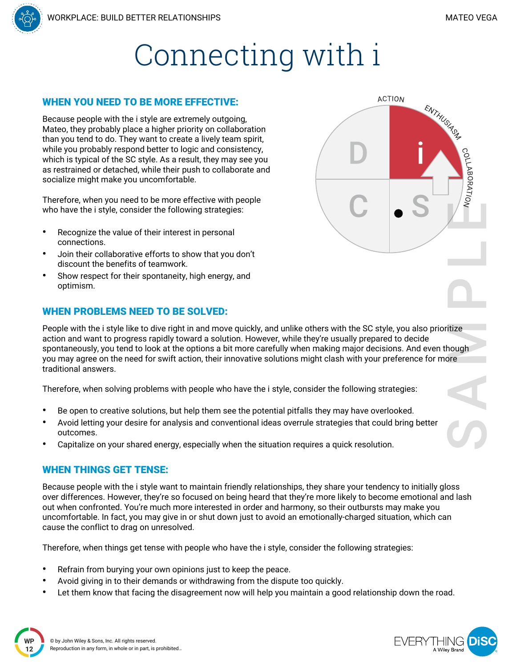COLLABORATION

ENTHUSA<sup>SA</sup>

**ACTION** 



### WHEN YOU NEED TO BE MORE EFFECTIVE:

Because people with the i style are extremely outgoing, Mateo, they probably place a higher priority on collaboration than you tend to do. They want to create a lively team spirit, while you probably respond better to logic and consistency, which is typical of the SC style. As a result, they may see you as restrained or detached, while their push to collaborate and socialize might make you uncomfortable.

Therefore, when you need to be more effective with people who have the i style, consider the following strategies:

- Recognize the value of their interest in personal connections.
- Join their collaborative efforts to show that you don't discount the benefits of teamwork.
- Show respect for their spontaneity, high energy, and optimism.

## WHEN PROBLEMS NEED TO BE SOLVED:

People with the i style like to dive right in and move quickly, and unlike others with the SC style, you also prioritize action and want to progress rapidly toward a solution. However, while they're usually prepared to decide spontaneously, you tend to look at the options a bit more carefully when making major decisions. And even though you may agree on the need for swift action, their innovative solutions might clash with your preference for more traditional answers.

Therefore, when solving problems with people who have the i style, consider the following strategies:

- Be open to creative solutions, but help them see the potential pitfalls they may have overlooked.
- Avoid letting your desire for analysis and conventional ideas overrule strategies that could bring better outcomes.
- Capitalize on your shared energy, especially when the situation requires a quick resolution.

## WHEN THINGS GET TENSE:

Because people with the i style want to maintain friendly relationships, they share your tendency to initially gloss over differences. However, they're so focused on being heard that they're more likely to become emotional and lash out when confronted. You're much more interested in order and harmony, so their outbursts may make you uncomfortable. In fact, you may give in or shut down just to avoid an emotionally-charged situation, which can cause the conflict to drag on unresolved.

Therefore, when things get tense with people who have the i style, consider the following strategies:

- Refrain from burying your own opinions just to keep the peace.
- Avoid giving in to their demands or withdrawing from the dispute too quickly.
- Let them know that facing the disagreement now will help you maintain a good relationship down the road.



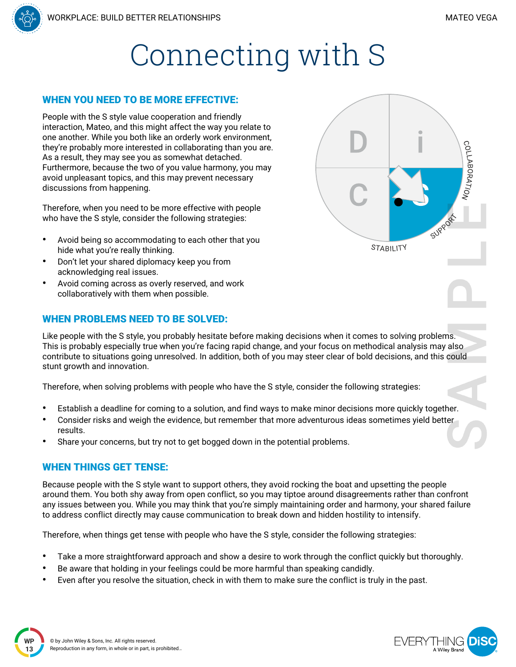COLLABORATION

**STABILITY** 

# Connecting with S

### WHEN YOU NEED TO BE MORE EFFECTIVE:

People with the S style value cooperation and friendly interaction, Mateo, and this might affect the way you relate to one another. While you both like an orderly work environment, they're probably more interested in collaborating than you are. As a result, they may see you as somewhat detached. Furthermore, because the two of you value harmony, you may avoid unpleasant topics, and this may prevent necessary discussions from happening.

Therefore, when you need to be more effective with people who have the S style, consider the following strategies:

- Avoid being so accommodating to each other that you hide what you're really thinking.
- Don't let your shared diplomacy keep you from acknowledging real issues.
- Avoid coming across as overly reserved, and work collaboratively with them when possible.

### WHEN PROBLEMS NEED TO BE SOLVED:

Like people with the S style, you probably hesitate before making decisions when it comes to solving problems. This is probably especially true when you're facing rapid change, and your focus on methodical analysis may also contribute to situations going unresolved. In addition, both of you may steer clear of bold decisions, and this could stunt growth and innovation.

Therefore, when solving problems with people who have the S style, consider the following strategies:

- Establish a deadline for coming to a solution, and find ways to make minor decisions more quickly together.
- Consider risks and weigh the evidence, but remember that more adventurous ideas sometimes yield better results.
- Share your concerns, but try not to get bogged down in the potential problems.

## WHEN THINGS GET TENSE:

Because people with the S style want to support others, they avoid rocking the boat and upsetting the people around them. You both shy away from open conflict, so you may tiptoe around disagreements rather than confront any issues between you. While you may think that you're simply maintaining order and harmony, your shared failure to address conflict directly may cause communication to break down and hidden hostility to intensify.

Therefore, when things get tense with people who have the S style, consider the following strategies:

- Take a more straightforward approach and show a desire to work through the conflict quickly but thoroughly.
- Be aware that holding in your feelings could be more harmful than speaking candidly.
- Even after you resolve the situation, check in with them to make sure the conflict is truly in the past.



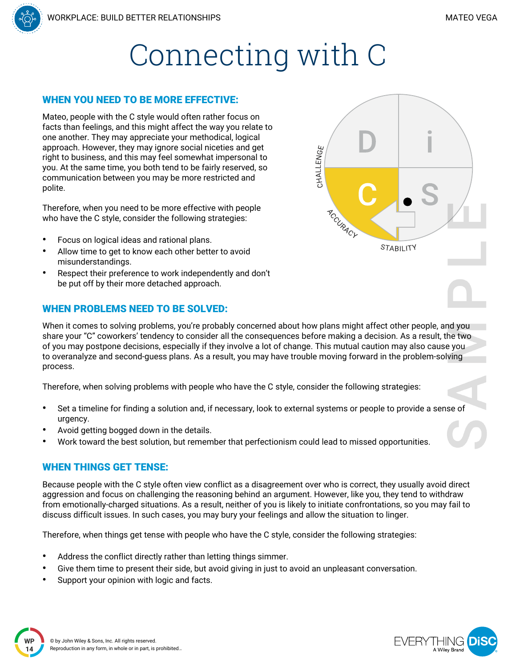

CHALLENGE

ACCURACY

STABILITY

#### WHEN YOU NEED TO BE MORE EFFECTIVE:

Mateo, people with the C style would often rather focus on facts than feelings, and this might affect the way you relate to one another. They may appreciate your methodical, logical approach. However, they may ignore social niceties and get right to business, and this may feel somewhat impersonal to you. At the same time, you both tend to be fairly reserved, so communication between you may be more restricted and polite.

Therefore, when you need to be more effective with people who have the C style, consider the following strategies:

- Focus on logical ideas and rational plans.
- Allow time to get to know each other better to avoid misunderstandings.
- Respect their preference to work independently and don't be put off by their more detached approach.

### WHEN PROBLEMS NEED TO BE SOLVED:



Therefore, when solving problems with people who have the C style, consider the following strategies:

- Set a timeline for finding a solution and, if necessary, look to external systems or people to provide a sense of urgency.
- Avoid getting bogged down in the details.
- Work toward the best solution, but remember that perfectionism could lead to missed opportunities.

#### WHEN THINGS GET TENSE:

Because people with the C style often view conflict as a disagreement over who is correct, they usually avoid direct aggression and focus on challenging the reasoning behind an argument. However, like you, they tend to withdraw from emotionally-charged situations. As a result, neither of you is likely to initiate confrontations, so you may fail to discuss difficult issues. In such cases, you may bury your feelings and allow the situation to linger.

Therefore, when things get tense with people who have the C style, consider the following strategies:

- Address the conflict directly rather than letting things simmer.
- Give them time to present their side, but avoid giving in just to avoid an unpleasant conversation.
- Support your opinion with logic and facts.



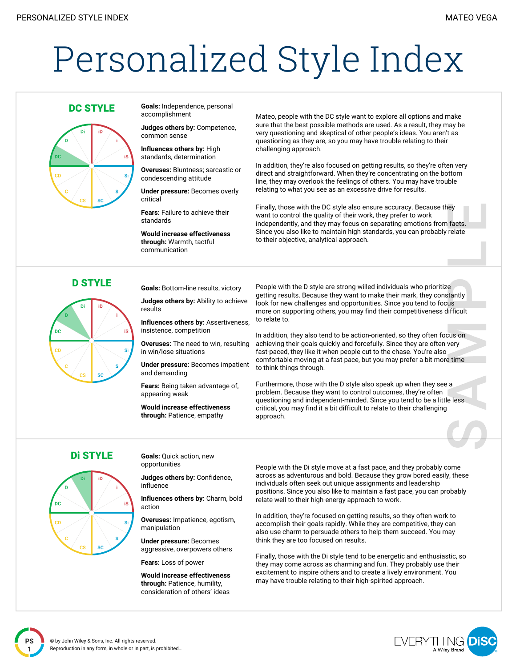# Personalized Style Index



**DC STYLE Goals:** Independence, personal accomplishment

> **Judges others by:** Competence, common sense

**Influences others by:** High standards, determination

**Overuses:** Bluntness; sarcastic or condescending attitude

**Under pressure:** Becomes overly critical

**Fears:** Failure to achieve their standards

**Would increase effectiveness through:** Warmth, tactful communication

Mateo, people with the DC style want to explore all options and make sure that the best possible methods are used. As a result, they may be very questioning and skeptical of other people's ideas. You aren't as questioning as they are, so you may have trouble relating to their challenging approach.

In addition, they're also focused on getting results, so they're often very direct and straightforward. When they're concentrating on the bottom line, they may overlook the feelings of others. You may have trouble relating to what you see as an excessive drive for results.

Finally, those with the DC style also ensure accuracy. Because they want to control the quality of their work, they prefer to work independently, and they may focus on separating emotions from facts. Since you also like to maintain high standards, you can probably relate to their objective, analytical approach.



D STYLE **Goals:** Bottom-line results, victory

**Judges others by:** Ability to achieve results

**Influences others by:** Assertiveness, insistence, competition

**Overuses:** The need to win, resulting in win/lose situations

**Under pressure:** Becomes impatient and demanding

**Fears:** Being taken advantage of, appearing weak

**Would increase effectiveness through:** Patience, empathy

People with the D style are strong-willed individuals who prioritize getting results. Because they want to make their mark, they constantly look for new challenges and opportunities. Since you tend to focus more on supporting others, you may find their competitiveness difficult to relate to.

In addition, they also tend to be action-oriented, so they often focus on achieving their goals quickly and forcefully. Since they are often very fast-paced, they like it when people cut to the chase. You're also comfortable moving at a fast pace, but you may prefer a bit more time to think things through.

Furthermore, those with the D style also speak up when they see a problem. Because they want to control outcomes, they're often questioning and independent-minded. Since you tend to be a little less critical, you may find it a bit difficult to relate to their challenging approach.



**Di STYLE Goals:** Ouick action, new opportunities

> **Judges others by:** Confidence, influence

**Influences others by:** Charm, bold action

**Overuses:** Impatience, egotism, manipulation

**Under pressure:** Becomes aggressive, overpowers others

**Fears:** Loss of power

**Would increase effectiveness through:** Patience, humility, consideration of others' ideas

People with the Di style move at a fast pace, and they probably come across as adventurous and bold. Because they grow bored easily, these individuals often seek out unique assignments and leadership positions. Since you also like to maintain a fast pace, you can probably relate well to their high-energy approach to work.

In addition, they're focused on getting results, so they often work to accomplish their goals rapidly. While they are competitive, they can also use charm to persuade others to help them succeed. You may think they are too focused on results.

Finally, those with the Di style tend to be energetic and enthusiastic, so they may come across as charming and fun. They probably use their excitement to inspire others and to create a lively environment. You may have trouble relating to their high-spirited approach.

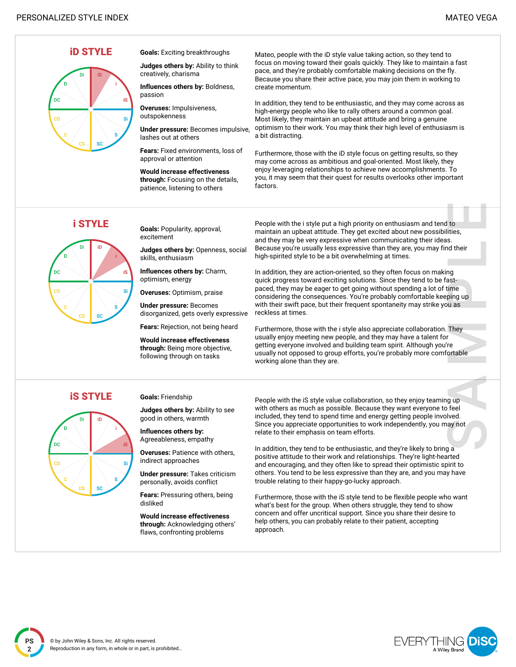

**Judges others by:** Ability to think

**Influences others by:** Boldness,

**Under pressure:** Becomes impulsive,

**Fears:** Fixed environments, loss of approval or attention

**Would increase effectiveness through:** Focusing on the details, patience, listening to others

Mateo, people with the iD style value taking action, so they tend to focus on moving toward their goals quickly. They like to maintain a fast pace, and they're probably comfortable making decisions on the fly. Because you share their active pace, you may join them in working to create momentum.

In addition, they tend to be enthusiastic, and they may come across as high-energy people who like to rally others around a common goal. Most likely, they maintain an upbeat attitude and bring a genuine optimism to their work. You may think their high level of enthusiasm is a bit distracting.

Furthermore, those with the iD style focus on getting results, so they may come across as ambitious and goal-oriented. Most likely, they enjoy leveraging relationships to achieve new accomplishments. To you, it may seem that their quest for results overlooks other important factors.



**i STYLE Goals:** Popularity, approval, excitement

> **Judges others by:** Openness, social skills, enthusiasm

**Influences others by:** Charm, optimism, energy

**Overuses:** Optimism, praise

**Under pressure:** Becomes disorganized, gets overly expressive

**Fears:** Rejection, not being heard

**Would increase effectiveness through:** Being more objective, following through on tasks

People with the i style put a high priority on enthusiasm and tend to maintain an upbeat attitude. They get excited about new possibilities, and they may be very expressive when communicating their ideas. Because you're usually less expressive than they are, you may find their high-spirited style to be a bit overwhelming at times.

In addition, they are action-oriented, so they often focus on making quick progress toward exciting solutions. Since they tend to be fastpaced, they may be eager to get going without spending a lot of time considering the consequences. You're probably comfortable keeping up with their swift pace, but their frequent spontaneity may strike you as reckless at times.

Furthermore, those with the i style also appreciate collaboration. They usually enjoy meeting new people, and they may have a talent for getting everyone involved and building team spirit. Although you're usually not opposed to group efforts, you're probably more comfortable working alone than they are.

**iS STYLE Goals: Friendship** 

**Judges others by:** Ability to see good in others, warmth

**Influences others by:** Agreeableness, empathy

**Overuses:** Patience with others, indirect approaches

**Under pressure:** Takes criticism personally, avoids conflict

**Fears:** Pressuring others, being disliked

**Would increase effectiveness through:** Acknowledging others' flaws, confronting problems

People with the iS style value collaboration, so they enjoy teaming up with others as much as possible. Because they want everyone to feel included, they tend to spend time and energy getting people involved. Since you appreciate opportunities to work independently, you may not relate to their emphasis on team efforts.

In addition, they tend to be enthusiastic, and they're likely to bring a positive attitude to their work and relationships. They're light-hearted and encouraging, and they often like to spread their optimistic spirit to others. You tend to be less expressive than they are, and you may have trouble relating to their happy-go-lucky approach.

Furthermore, those with the iS style tend to be flexible people who want what's best for the group. When others struggle, they tend to show concern and offer uncritical support. Since you share their desire to help others, you can probably relate to their patient, accepting approach.

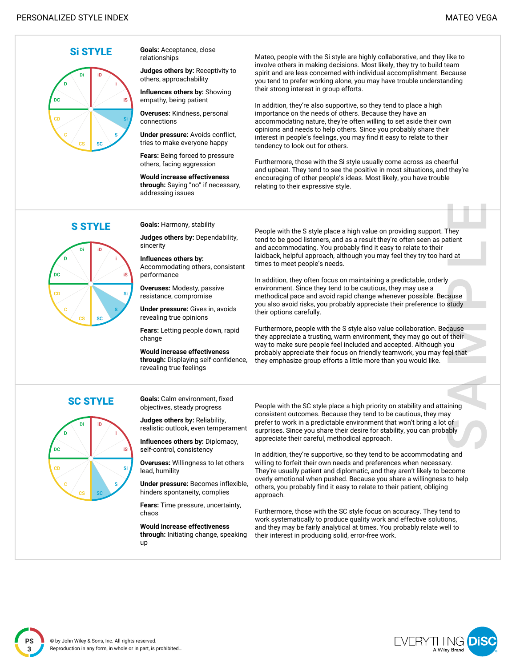

**Si STYLE Goals:** Acceptance, close relationships

> **Judges others by:** Receptivity to others, approachability

**Influences others by:** Showing empathy, being patient

**Overuses:** Kindness, personal connections

**Under pressure:** Avoids conflict, tries to make everyone happy

**Fears:** Being forced to pressure others, facing aggression

**Would increase effectiveness through:** Saying "no" if necessary, addressing issues

Mateo, people with the Si style are highly collaborative, and they like to involve others in making decisions. Most likely, they try to build team spirit and are less concerned with individual accomplishment. Because you tend to prefer working alone, you may have trouble understanding their strong interest in group efforts.

In addition, they're also supportive, so they tend to place a high importance on the needs of others. Because they have an accommodating nature, they're often willing to set aside their own opinions and needs to help others. Since you probably share their interest in people's feelings, you may find it easy to relate to their tendency to look out for others.

Furthermore, those with the Si style usually come across as cheerful and upbeat. They tend to see the positive in most situations, and they're encouraging of other people's ideas. Most likely, you have trouble relating to their expressive style.



**S STYLE** Goals: Harmony, stability

**Judges others by:** Dependability, sincerity

**Influences others by:** Accommodating others, consistent performance

**Overuses:** Modesty, passive resistance, compromise

**Under pressure:** Gives in, avoids revealing true opinions

**Fears:** Letting people down, rapid change

**Would increase effectiveness through:** Displaying self-confidence, revealing true feelings

People with the S style place a high value on providing support. They tend to be good listeners, and as a result they're often seen as patient and accommodating. You probably find it easy to relate to their laidback, helpful approach, although you may feel they try too hard at times to meet people's needs.

In addition, they often focus on maintaining a predictable, orderly environment. Since they tend to be cautious, they may use a methodical pace and avoid rapid change whenever possible. Because you also avoid risks, you probably appreciate their preference to study their options carefully.

Furthermore, people with the S style also value collaboration. Because they appreciate a trusting, warm environment, they may go out of their way to make sure people feel included and accepted. Although you probably appreciate their focus on friendly teamwork, you may feel that they emphasize group efforts a little more than you would like.



**SC STYLE Goals:** Calm environment, fixed objectives, steady progress

> **Judges others by:** Reliability, realistic outlook, even temperament

**Influences others by:** Diplomacy, self-control, consistency

**Overuses:** Willingness to let others lead, humility

**Under pressure:** Becomes inflexible, hinders spontaneity, complies

**Fears:** Time pressure, uncertainty, chaos

**Would increase effectiveness through:** Initiating change, speaking up

People with the SC style place a high priority on stability and attaining consistent outcomes. Because they tend to be cautious, they may prefer to work in a predictable environment that won't bring a lot of surprises. Since you share their desire for stability, you can probably appreciate their careful, methodical approach.

In addition, they're supportive, so they tend to be accommodating and willing to forfeit their own needs and preferences when necessary. They're usually patient and diplomatic, and they aren't likely to become overly emotional when pushed. Because you share a willingness to help others, you probably find it easy to relate to their patient, obliging approach.

Furthermore, those with the SC style focus on accuracy. They tend to work systematically to produce quality work and effective solutions, and they may be fairly analytical at times. You probably relate well to their interest in producing solid, error-free work.